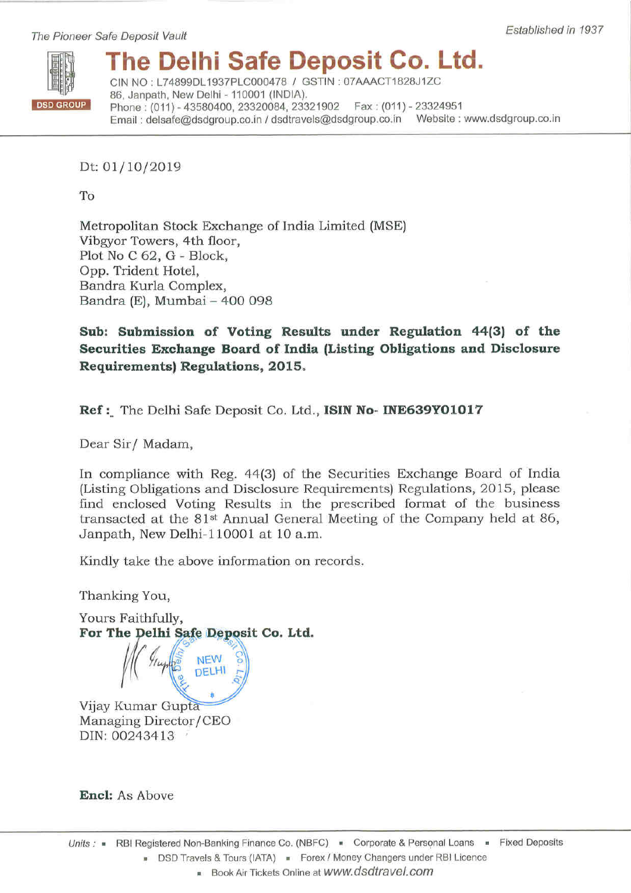## The Delhi Safe Deposit Co. Ltd.

CIN NO: L74899DL1937PLC000478 / GSTIN: 07AAACT1828J1ZC 86, Janpath, New Delhi - 110001 (INDIA). Phone: (011) - 43580400, 23320084, 23321902 Fax: (011) - 23324951 Email: delsafe@dsdgroup.co.in / dsdtravels@dsdgroup.co.in Website: www.dsdgroup.co.in

Established in 1937

Dt: 01/10/2019

To

Metropolitan Stock Exchange of India Limited (MSE) Vibgyor Towers, 4th floor, Plot No C 62, G - Block, Opp. Trident Hotel, Bandra Kurla Complex, Bandra (E), Mumbai - 400 098

Sub: Submission of Voting Results under Regulation 44(3) of the Securities Exchange Board of India (Listing Obligations and Disclosure Requirements) Regulations, 2015.

Ref: The Delhi Safe Deposit Co. Ltd., ISIN No- INE639Y01017

Dear Sir/ Madam,

In compliance with Reg. 44(3) of the Securities Exchange Board of India (Listing Obligations and Disclosure Requirements) Regulations, 2015, please find enclosed Voting Results in the prescribed format of the business transacted at the 81<sup>st</sup> Annual General Meeting of the Company held at 86, Janpath, New Delhi-110001 at 10 a.m.

Kindly take the above information on records.

Thanking You,

Yours Faithfully, For The Delhi Safe Deposit Co. Ltd.

> **NEW** DELHI

Vijay Kumar Gupta Managing Director/CEO DIN: 00243413

**Encl:** As Above

Book Air Tickets Online at WWW.dsdtravel.com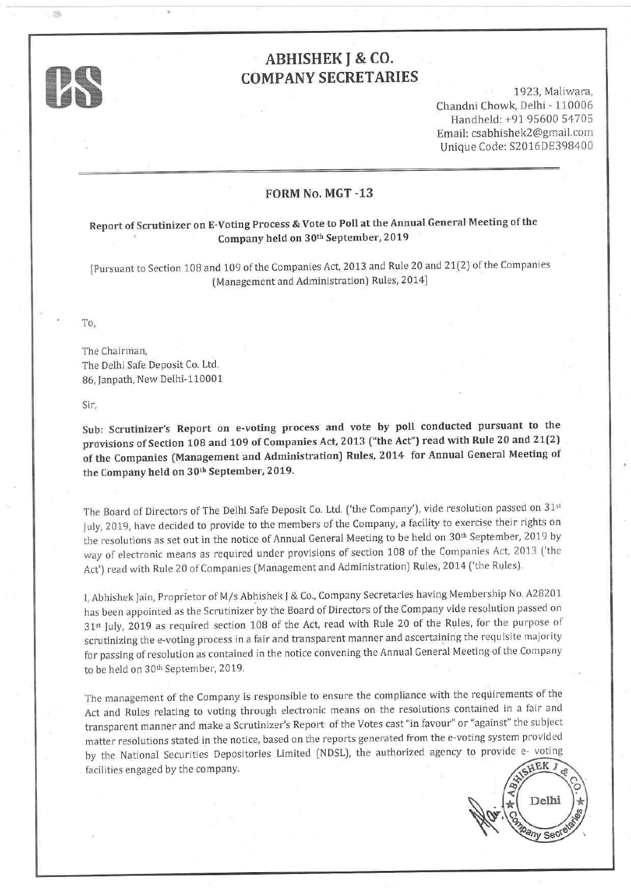

出海

### ABHISHEK I & CO. COMPANY SECRETARIES

1923, Maliwara, Chandni Chowk, Delhi - 110006 Handheld: +91 95600 54745 Email: csabhishek2 @gmail.com Unique Code: S2016DE398400

#### FORM No. MGT -13

# Report of Scrutinizer on E-Voting Process & Vote to Poll at the Annual General Meeting of the<br>Company held on 30<sup>th</sup> September, 2019

[Pursuant to Section 108 and 109 of the Companies Act, 2013 and Rule 20 and 21(2) of the Companies (Management and Administration) Rules, 2014]

To,

The Chairman, The Delhi Safe Deposit Co. Ltd. 86, fanpath, New Delhi-110001

<sup>S</sup>ir,

Sub: Scrutinizer's Report on e-voting process and vote by poll conducted pursuant to the provisions of Section 108 and 109 of Companies Act, 2013 ("the Act") read with Rule 20 and 21(2) of the Companies (Management and Administration) Rules, 2014 for Annual General Meeting of the Company held on 3Oth September, 2019.

The Board of Directors of The Delhi Safe Deposit Co. Ltd. ('the Company'), vide resolution passed on 31st July, 2019, have decided to provide to the members of the Company, a facility to exercise their rights on the resolutions as set out in the notice of Annual General Meeting to be held on 30<sup>th</sup> September, 2019 by way of electronic means as required under provisions of section 108 of the Companies Act, 2013 ['the Act') read with Rule 20 of Companies (Management and Administration) Rules, 2014 ('the Rules).

I, Abhishek Jain, proprietor of M/s Abhishek J & Co., Company Secretaries having Membership No. A28201 has been appointed as the Scrutinizer by the Board of Directors of the Company vide resolution passed on 31<sup>st</sup> July, 2019 as required section 108 of the Act, read with Rule 20 of the Rules, for the purpose of scrutinizing the e-voting process in a fair and transparent manner and ascertaining the requisite majority for passing of resolution as contained in the notice convening the Annual General Meeting of the Company to be held on 30th September, 2019.

The management of the Company is responsible to ensure the compliance with the requirements of the Act and Rules relating to voting through electronic means on the resolutions contained in a fair and transparent manner and make a Scrutinizer's Report of the Votes cast "in favour" or "against" the subject matter resolutions stated in the notice, based on the reports generated from the e-voting system provided by the National Securities Depositories Limited (NDSL), the authorized agency to provide e- voting facilities engaged by the company.

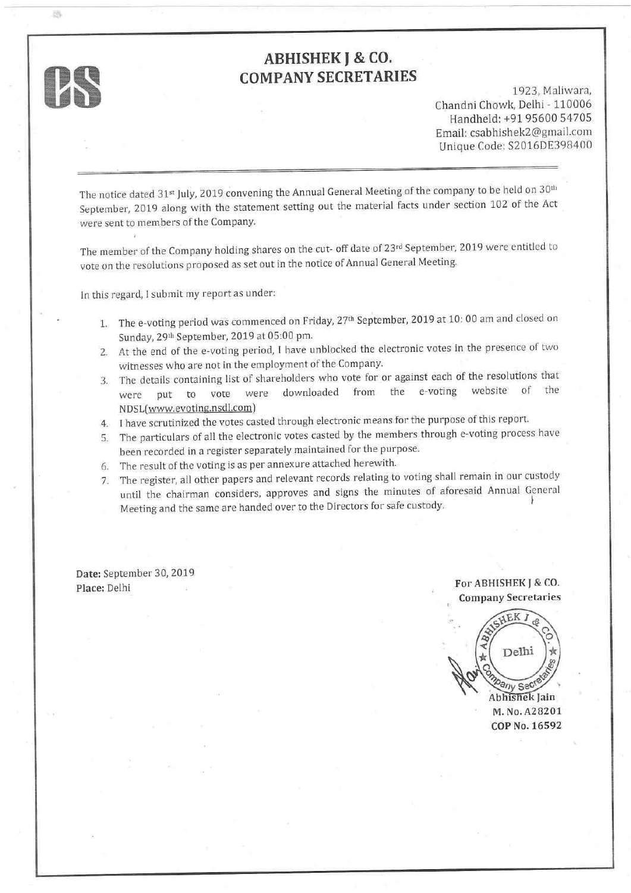# $\mathcal{P}$

器

### ABHISHEK I & CO. COMPANY SECRETARIES

1923, Maliwara, Chandni Chowk, Delhi - 110006 Handheld: +91 95600 54705 Email: csabhishek2 @gmail.com Unique Code: S2016DE398400

The notice dated 31<sup>st</sup> July, 2019 convening the Annual General Meeting of the company to be held on 30<sup>th</sup> September, 2019 along with the statement setting out the material facts under section 102 of the Act were sent to members of the Company.

The member of the Company holding shares on the cut- off date of 23rd September, 2019 were entitled to vote on the resolutions proposed as set out in the notice of Annual General Meeting'

ln this regard, I submit my report as under:

- 1. The e-voting period was commenced on Friday, 27<sup>th</sup> September, 2019 at 10: 00 am and closed on Sunday, 29th September, 2019 at 05:00 pm.
- Z. At the end of the e-voting period, I have unblocked the electronic votes in the presence of two witnesses who are not in the employment of the Company.
- 3. The details containing list of shareholders who vote for or against each of the resolutions that were nut to vote were downloaded from the e-voting website of the were put to vote were downloaded <sup>N</sup>DSL[www.evoting.nsdl.comJ
- 4. I have scrutinized the votes casted through electronic means for the purpose of this report
- 5. The particulars of all the electronic votes casted by the members through e-voting process have been recorded in a register separately maintained for the purpose.
- 6. The result of the voting is as per annexure attached herewith.
- The register, all other papers and relevant records relating to voting shall remain in our custody 7. until the chairman considers, approves and signs the minutes of aforesaid Annual General Meeting and the same are handed over to the Directors for safe custody. <sup>I</sup>

Date: September 30, 2019 Place: Delhi For ABHISHEK J & CO.

Company Secretaries

Delhi Pany Sec Abhishek lain M. No. A28207 COP No. L6592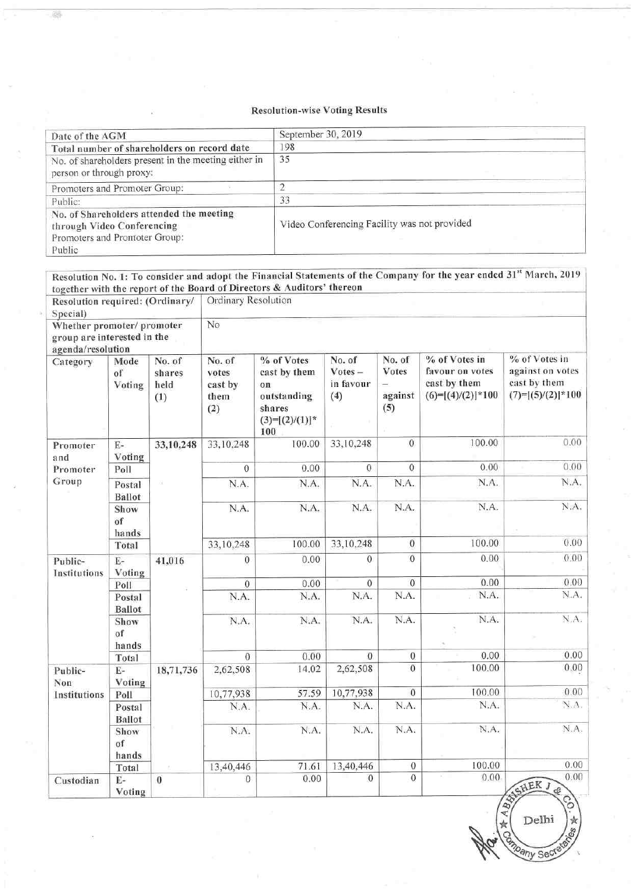#### Resolution-wise Voting Results

鹀

| Date of the AGM                                                                                                   | September 30, 2019                           |
|-------------------------------------------------------------------------------------------------------------------|----------------------------------------------|
| Total number of shareholders on record date                                                                       | 198                                          |
| No. of shareholders present in the meeting either in<br>person or through proxy:                                  | 35                                           |
| Promoters and Promoter Group:                                                                                     |                                              |
| Public:                                                                                                           | 33                                           |
| No. of Shareholders attended the meeting<br>through Video Conferencing<br>Promoters and Promoter Group:<br>Public | Video Conferencing Facility was not provided |

|                                                                                |                         |                                 |                                           | together with the report of the Board of Directors & Auditors' thereon                |                                         |                                   | Resolution No. 1: To consider and adopt the Financial Statements of the Company for the year ended 31st March, 2019 |                                                                          |  |  |  |  |
|--------------------------------------------------------------------------------|-------------------------|---------------------------------|-------------------------------------------|---------------------------------------------------------------------------------------|-----------------------------------------|-----------------------------------|---------------------------------------------------------------------------------------------------------------------|--------------------------------------------------------------------------|--|--|--|--|
| Resolution required: (Ordinary/<br>Special)                                    |                         |                                 | Ordinary Resolution                       |                                                                                       |                                         |                                   |                                                                                                                     |                                                                          |  |  |  |  |
| Whether promoter/ promoter<br>group are interested in the<br>agenda/resolution |                         |                                 | No                                        |                                                                                       |                                         |                                   |                                                                                                                     |                                                                          |  |  |  |  |
| Category                                                                       | Mode<br>of<br>Voting    | No. of<br>shares<br>held<br>(1) | No. of<br>votes<br>cast by<br>them<br>(2) | % of Votes<br>cast by them<br>on<br>outstanding<br>shares<br>$(3)=[(2)/(1)]$ *<br>100 | No. of<br>$Votes -$<br>in favour<br>(4) | No. of<br>Votes<br>against<br>(5) | % of Votes in<br>favour on votes<br>cast by them<br>$(6)=[(4)/(2)]*100$                                             | % of Votes in<br>against on votes<br>cast by them<br>$(7)=[(5)/(2)]*100$ |  |  |  |  |
| Promoter<br>and                                                                | $E-$<br>Voting          | 33,10,248                       | 33,10,248                                 | 100.00                                                                                | 33,10,248                               | $\mathbf{0}$                      | 100.00                                                                                                              | 0.00                                                                     |  |  |  |  |
| Promoter                                                                       | Poll                    |                                 | $\theta$                                  | 0.00                                                                                  | $\theta$                                | $\theta$                          | 0.00                                                                                                                | 0.00                                                                     |  |  |  |  |
| Group                                                                          | Postal<br><b>Ballot</b> |                                 | N.A.                                      | N.A.                                                                                  | N.A.                                    | N.A.                              | N.A.                                                                                                                | N.A.                                                                     |  |  |  |  |
|                                                                                | Show<br>of<br>hands     |                                 | N.A.                                      | N.A.                                                                                  | N.A.                                    | N.A.                              | N.A.                                                                                                                | N.A.                                                                     |  |  |  |  |
|                                                                                | Total                   |                                 | 33,10,248                                 | 100.00                                                                                | 33,10,248                               | $\mathbf{0}$                      | 100.00                                                                                                              | 0.00                                                                     |  |  |  |  |
| Public-<br>Institutions                                                        | $E-$<br>Voting          | 41,016                          | $\overline{0}$                            | 0.00                                                                                  | $\Omega$                                | $\overline{0}$                    | 0.00                                                                                                                | 0.00                                                                     |  |  |  |  |
|                                                                                | Poll                    |                                 | $\mathbf{0}$                              | 0.00                                                                                  | $\boldsymbol{0}$                        | $\sqrt{0}$                        | 0.00                                                                                                                | 0.00                                                                     |  |  |  |  |
|                                                                                | Postal<br><b>Ballot</b> |                                 | N.A.                                      | N.A.                                                                                  | N.A.                                    | N.A.                              | N.A.                                                                                                                | N.A.                                                                     |  |  |  |  |
|                                                                                | Show<br>of<br>hands     |                                 | N.A.                                      | N.A.                                                                                  | N.A.                                    | N.A.                              | N.A.                                                                                                                | N.A.                                                                     |  |  |  |  |
|                                                                                | Total                   |                                 | $\theta$                                  | 0.00                                                                                  | $\theta$                                | $\theta$                          | 0.00                                                                                                                | 0.00                                                                     |  |  |  |  |
| Public-<br>Non                                                                 | $E-$<br>Voting          | 18,71,736                       | 2,62,508                                  | 14.02                                                                                 | 2,62,508                                | $\theta$                          | 100.00                                                                                                              | 0.00                                                                     |  |  |  |  |
| Institutions                                                                   | Poll                    |                                 | 10,77,938                                 | 57.59                                                                                 | 10,77,938                               | $\bf{0}$                          | 100.00                                                                                                              | 0.00                                                                     |  |  |  |  |
|                                                                                | Postal<br><b>Ballot</b> |                                 | N.A.                                      | N.A.                                                                                  | N.A.                                    | N.A.                              | N.A.                                                                                                                | N.A.                                                                     |  |  |  |  |
|                                                                                | Show<br>of<br>hands     |                                 | N.A.                                      | N.A.                                                                                  | N.A.                                    | N.A.                              | N.A.                                                                                                                | N.A.                                                                     |  |  |  |  |
|                                                                                | Total                   |                                 | 13,40,446                                 | 71.61                                                                                 | 13,40,446                               | $\theta$                          | 100.00                                                                                                              | 0.00                                                                     |  |  |  |  |
| Custodian                                                                      | $E-$<br>Voting          | $\bf{0}$                        | $\mathbf{0}$                              | 0.00                                                                                  | $\theta$                                | $\overline{0}$                    | 0.00                                                                                                                | 0.00<br>AISHEK J<br>¢<br>$\circ$                                         |  |  |  |  |

Delhi  $a_{\eta_V}$  Sec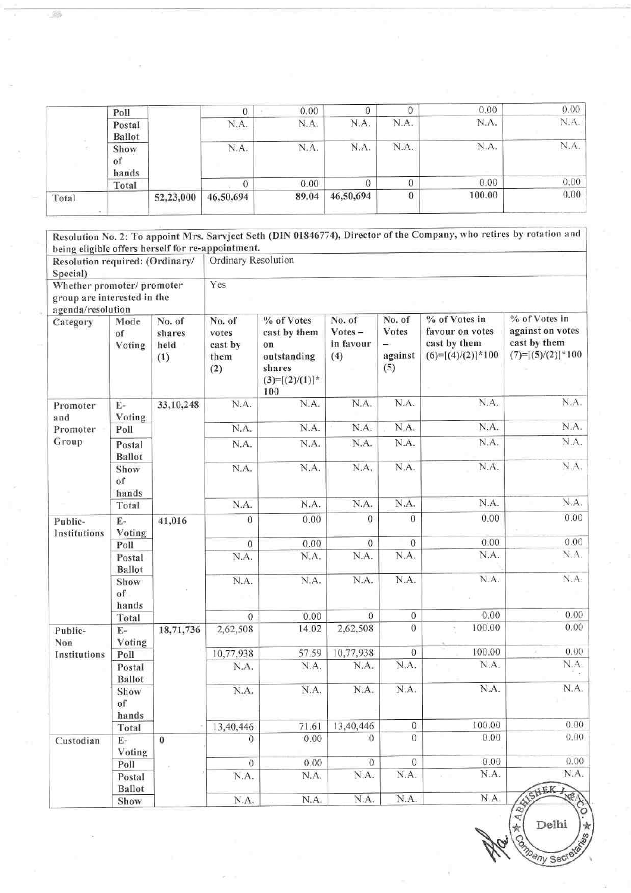|                 | Poll             |           |           | 0.00  |           |          | 0.00   | 0.00 |
|-----------------|------------------|-----------|-----------|-------|-----------|----------|--------|------|
| Show<br>$_{01}$ | Postal<br>Ballot |           | N.A.      | N.A.  | N.A.      | N.A.     | N.A.   | N.A. |
|                 | hands            |           | N.A.      | N.A.  | N.A.      | N.A.     | N.A.   | N.A. |
|                 | Total            |           |           | 0.00  |           |          | 0.00   | 0.00 |
| Total           |                  | 52,23,000 | 46,50,694 | 89.04 | 46,50,694 | $\bf{0}$ | 100.00 | 0.00 |

89

|                                                                           |                         |                                 |                                    |                                                 |                                         |                            | Resolution No. 2: To appoint Mrs. Sarvjeet Seth (DIN 01846774), Director of the Company, who retires by rotation and |                                                                            |  |  |  |
|---------------------------------------------------------------------------|-------------------------|---------------------------------|------------------------------------|-------------------------------------------------|-----------------------------------------|----------------------------|----------------------------------------------------------------------------------------------------------------------|----------------------------------------------------------------------------|--|--|--|
| being eligible offers herself for re-appointment.                         |                         |                                 |                                    |                                                 |                                         |                            |                                                                                                                      |                                                                            |  |  |  |
| Resolution required: (Ordinary/<br>Special)<br>Whether promoter/ promoter |                         | Ordinary Resolution             |                                    |                                                 |                                         |                            |                                                                                                                      |                                                                            |  |  |  |
|                                                                           |                         |                                 |                                    |                                                 |                                         |                            |                                                                                                                      |                                                                            |  |  |  |
| group are interested in the                                               |                         |                                 | Yes                                |                                                 |                                         |                            |                                                                                                                      |                                                                            |  |  |  |
| agenda/resolution                                                         |                         |                                 |                                    |                                                 |                                         |                            |                                                                                                                      |                                                                            |  |  |  |
| Category                                                                  | Mode<br>of<br>Voting    | No. of<br>shares<br>held<br>(1) | No. of<br>votes<br>cast by<br>them | % of Votes<br>cast by them<br>on<br>outstanding | No. of<br>$Votes -$<br>in favour<br>(4) | No. of<br>Votes<br>against | % of Votes in<br>favour on votes<br>cast by them<br>$(6)=[(4)/(2)]*100$                                              | % of Votes in<br>against on votes<br>cast by them<br>$(7)=[(5)/(2)]$ * 100 |  |  |  |
|                                                                           |                         |                                 | (2)                                | shares<br>$(3)=[(2)/(1)]$ *<br>100              |                                         | (5)                        |                                                                                                                      |                                                                            |  |  |  |
| Promoter<br>and                                                           | $\rm E$ -<br>Voting     | 33,10,248                       | N.A.                               | N.A.                                            | N.A.                                    | N.A.                       | N.A.                                                                                                                 | N.A.                                                                       |  |  |  |
| Promoter                                                                  | Poll                    |                                 | N.A.                               | N.A.                                            | N.A.                                    | N.A.                       | N.A.                                                                                                                 | N.A.                                                                       |  |  |  |
| Group                                                                     | Postal<br><b>Ballot</b> |                                 | N.A.                               | N.A.                                            | N.A.                                    | N.A.                       | N.A.                                                                                                                 | N.A.                                                                       |  |  |  |
|                                                                           | Show<br>of<br>hands     |                                 | N.A.                               | N.A.                                            | N.A.                                    | N.A.                       | N.A.                                                                                                                 | N.A.                                                                       |  |  |  |
|                                                                           | Total                   |                                 | N.A.                               | N.A.                                            | N.A.                                    | N.A.                       | N.A.                                                                                                                 | N.A.                                                                       |  |  |  |
| Public-<br>Institutions                                                   | $E-$<br>Voting          | 41,016                          | $\mathbf{0}$                       | 0.00                                            | $\Omega$                                | $\theta$                   | 0.00                                                                                                                 | 0.00                                                                       |  |  |  |
|                                                                           | Poll                    |                                 | $\mathbf{0}$                       | 0.00                                            | $\mathbf{0}$                            | $\boldsymbol{0}$           | 0.00                                                                                                                 | 0.00                                                                       |  |  |  |
|                                                                           | Postal<br><b>Ballot</b> |                                 | N.A.                               | N.A.                                            | N.A.                                    | N.A.                       | N.A.                                                                                                                 | N.A.                                                                       |  |  |  |
|                                                                           | Show<br>of<br>hands     |                                 | N.A.                               | N.A.                                            | N.A.                                    | N.A.                       | N.A.                                                                                                                 | N.A.                                                                       |  |  |  |
|                                                                           | Total                   |                                 | $\Omega$                           | 0.00                                            | $\theta$                                | $\overline{0}$             | 0.00                                                                                                                 | 0.00                                                                       |  |  |  |
| Public-<br>Non                                                            | $E-$<br>Voting          | 18,71,736                       | 2,62,508                           | 14.02                                           | 2,62,508                                | $\mathbf{0}$               | 100.00<br>×                                                                                                          | 0.00                                                                       |  |  |  |
| Institutions                                                              | Poll                    |                                 | 10,77,938                          | 57.59                                           | 10,77,938                               | $\theta$                   | 100.00                                                                                                               | 0.00                                                                       |  |  |  |
|                                                                           | Postal<br><b>Ballot</b> |                                 | N.A.                               | N.A.                                            | N.A.                                    | N.A.                       | N.A.                                                                                                                 | N.A.                                                                       |  |  |  |
|                                                                           | Show<br>of<br>hands     |                                 | N.A.                               | N.A.                                            | N.A.                                    | N.A.                       | N.A.                                                                                                                 | N.A.                                                                       |  |  |  |
|                                                                           | Total                   |                                 | 13,40,446                          | 71.61                                           | 13,40,446                               | 0                          | 100.00                                                                                                               | 0.00                                                                       |  |  |  |
| Custodian                                                                 | $E-$<br>Voting          | $\overline{0}$                  | $\overline{0}$                     | 0.00                                            | $\theta$                                | $\mathbf{0}$               | 0.00                                                                                                                 | 0.00                                                                       |  |  |  |
|                                                                           | Poll                    |                                 | $\boldsymbol{0}$                   | 0.00                                            | $\mathbf{O}$                            | $\theta$                   | 0.00                                                                                                                 | 0.00                                                                       |  |  |  |
|                                                                           | Postal<br>Ballot        |                                 | N.A.                               | N.A.                                            | N.A.                                    | N.A.                       | N.A.                                                                                                                 | N.A.<br>ISHEK,                                                             |  |  |  |
|                                                                           | Show                    |                                 | N.A.                               | N.A.                                            | N.A.                                    | N.A.                       | N.A.                                                                                                                 | <b>RAND</b><br>$\mathcal{D}$                                               |  |  |  |

 $\frac{f}{f}$  Delhi  $\frac{f}{f}$ Shipany Sected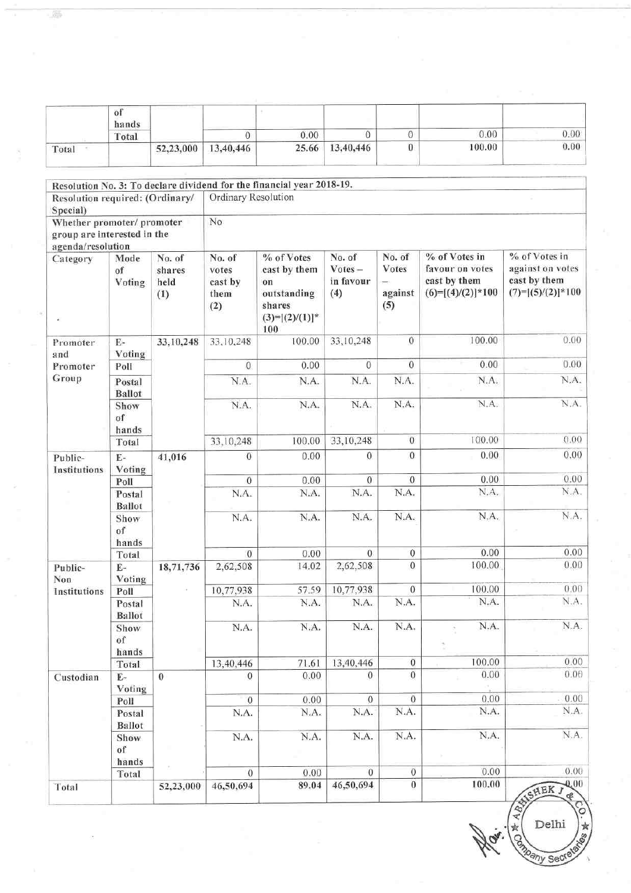|                                        | of<br>hands             |                                 | $\Omega$                                  | 0.00                                                                                  | $\theta$                                | $\boldsymbol{0}$                       | 0.00                                                                    | 0.00                                                                     |
|----------------------------------------|-------------------------|---------------------------------|-------------------------------------------|---------------------------------------------------------------------------------------|-----------------------------------------|----------------------------------------|-------------------------------------------------------------------------|--------------------------------------------------------------------------|
| Total                                  | Total                   | 52,23,000                       | 13,40,446                                 | 25.66                                                                                 | 13,40,446                               | $\theta$                               | 100.00                                                                  | 0.00                                                                     |
|                                        |                         |                                 |                                           |                                                                                       |                                         |                                        |                                                                         |                                                                          |
|                                        |                         |                                 |                                           | Resolution No. 3: To declare dividend for the financial year 2018-19.                 |                                         |                                        |                                                                         |                                                                          |
| Resolution required: (Ordinary/        |                         |                                 | Ordinary Resolution                       |                                                                                       |                                         |                                        |                                                                         |                                                                          |
| Special)<br>Whether promoter/ promoter |                         |                                 | No                                        |                                                                                       |                                         |                                        |                                                                         |                                                                          |
| group are interested in the            |                         |                                 |                                           |                                                                                       |                                         |                                        |                                                                         |                                                                          |
| agenda/resolution                      |                         |                                 |                                           |                                                                                       |                                         |                                        |                                                                         |                                                                          |
| Category<br>¥                          | Mode<br>of<br>Voting    | No. of<br>shares<br>held<br>(1) | No. of<br>votes<br>cast by<br>them<br>(2) | % of Votes<br>cast by them<br>on<br>outstanding<br>shares<br>$(3)=[(2)/(1)]^*$<br>100 | No. of<br>$Votes -$<br>in favour<br>(4) | No. of<br>Votes<br>÷<br>against<br>(5) | % of Votes in<br>favour on votes<br>cast by them<br>$(6)=[(4)/(2)]*100$ | % of Votes in<br>against on votes<br>cast by them<br>$(7)=[(5)/(2)]*100$ |
| Promoter<br>and                        | $\rm E$ -<br>Voting     | 33,10,248                       | 33,10,248                                 | 100.00                                                                                | 33,10,248                               | $\bf{0}$                               | 100.00                                                                  | 0.00                                                                     |
| Promoter                               | Poll                    |                                 | $\mathbf{0}$                              | 0.00                                                                                  | $\overline{0}$                          | $\overline{0}$                         | 0.00                                                                    | 0.00                                                                     |
| Group                                  | Postal<br><b>Ballot</b> |                                 | N.A.                                      | N.A.                                                                                  | N.A.                                    | N.A.                                   | N.A.                                                                    | N.A.                                                                     |
|                                        | Show<br>of<br>hands     |                                 | N.A.                                      | N.A.                                                                                  | N.A.                                    | N.A.                                   | N.A.                                                                    | N.A.                                                                     |
|                                        | Total                   |                                 | 33,10,248                                 | 100.00                                                                                | 33,10,248                               | $\mathbf{0}$                           | 100.00                                                                  | 0.00                                                                     |
| Public-<br>Institutions                | $E-$<br>Voting          | 41,016                          | $\overline{0}$                            | 0.00                                                                                  | $\theta$                                | $\mathbf{0}$                           | 0.00                                                                    | 0.00                                                                     |
|                                        | Poll                    |                                 | $\theta$                                  | 0.00                                                                                  | $\boldsymbol{0}$                        | $\mathbf{0}$                           | 0.00                                                                    | 0.00                                                                     |
|                                        | Postal<br><b>Ballot</b> |                                 | N.A.                                      | N.A.                                                                                  | N.A.                                    | N.A.                                   | N.A.                                                                    | N.A.                                                                     |
|                                        | Show<br>of<br>hands     |                                 | N.A.                                      | N.A.                                                                                  | N.A.                                    | N.A.                                   | N.A.                                                                    | N.A.                                                                     |
|                                        | Total                   |                                 | $\overline{0}$                            | 0.00                                                                                  | $\overline{0}$                          | $\boldsymbol{0}$                       | 0.00                                                                    | 0.00                                                                     |
| Public-<br>Non                         | E-<br>Voting            | 18,71,736                       | 2,62,508                                  | 14.02                                                                                 | 2,62,508                                | $\bf{0}$                               | 100.00                                                                  | 0.00                                                                     |
| Institutions                           | Poll                    |                                 | 10,77,938                                 | 57.59                                                                                 | 10,77,938                               | $\sqrt{0}$                             | 100.00                                                                  | 0.00                                                                     |
|                                        | Postal<br><b>Ballot</b> |                                 | N.A.                                      | N.A.                                                                                  | N.A.                                    | N.A.                                   | N.A.                                                                    | N.A.                                                                     |
|                                        | Show<br>of<br>hands     |                                 | N.A.                                      | N.A.                                                                                  | N.A.                                    | N.A.                                   | N.A.                                                                    | N.A.                                                                     |
|                                        | Total                   |                                 | 13,40,446                                 | 71.61                                                                                 | 13,40,446                               | $\boldsymbol{0}$                       | 100.00                                                                  | 0.00                                                                     |
| Custodian                              | $E-$                    | $\bf{0}$                        | 0                                         | 0.00                                                                                  | $^{0}$                                  | $\overline{0}$                         | 0.00                                                                    | 0.00                                                                     |
|                                        | Voting<br>Poll          |                                 | $\boldsymbol{0}$                          | 0.00                                                                                  | $\,0\,$                                 | $\theta$                               | 0.00                                                                    | 0.00                                                                     |
|                                        | Postal<br>Ballot        |                                 | N.A.                                      | N.A.                                                                                  | N.A.                                    | N.A.                                   | N.A.                                                                    | N.A.                                                                     |
|                                        | Show<br>of<br>hands     |                                 | N.A.                                      | N.A.                                                                                  | N.A.                                    | N.A.                                   | N.A.                                                                    | N.A.                                                                     |
|                                        | Total                   |                                 | $\overline{0}$                            | 0.00                                                                                  | $\Omega$                                | $\boldsymbol{0}$                       | 0.00                                                                    | 0.00                                                                     |
| Total                                  |                         | 52,23,000                       | 46,50,694                                 | 89.04                                                                                 | 46,50,694                               | $\bf{0}$                               | 100.00                                                                  | $-0.00$<br>ANSHEK J<br>¢<br>8,                                           |

磨

Nov. & Delhi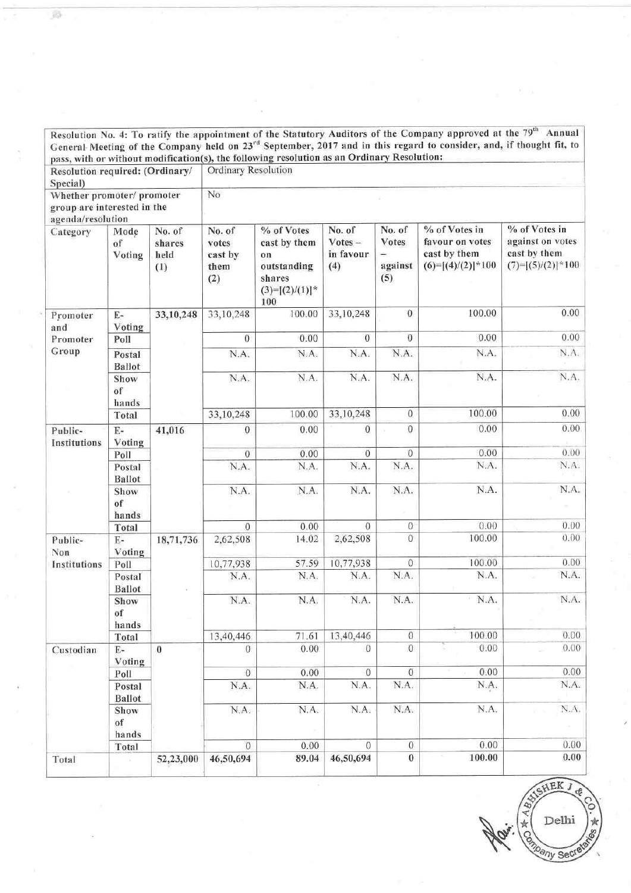|                                                                                |                          |                                 |                                                                                                                   |                                                                                       |                                         |                                                               | Resolution No. 4: To ratify the appointment of the Statutory Auditors of the Company approved at the 79 <sup>th</sup> Annual<br>General Meeting of the Company held on 23 <sup>rd</sup> September, 2017 and in this regard to consider, and, if thought fit, to |                                                                          |  |  |  |  |
|--------------------------------------------------------------------------------|--------------------------|---------------------------------|-------------------------------------------------------------------------------------------------------------------|---------------------------------------------------------------------------------------|-----------------------------------------|---------------------------------------------------------------|-----------------------------------------------------------------------------------------------------------------------------------------------------------------------------------------------------------------------------------------------------------------|--------------------------------------------------------------------------|--|--|--|--|
| Resolution required: (Ordinary/<br>Special)                                    |                          |                                 | pass, with or without modification(s), the following resolution as an Ordinary Resolution:<br>Ordinary Resolution |                                                                                       |                                         |                                                               |                                                                                                                                                                                                                                                                 |                                                                          |  |  |  |  |
| Whether promoter/ promoter<br>group are interested in the<br>agenda/resolution |                          |                                 | No                                                                                                                |                                                                                       |                                         |                                                               |                                                                                                                                                                                                                                                                 |                                                                          |  |  |  |  |
| Category                                                                       | Mode<br>of<br>Voting     | No. of<br>shares<br>held<br>(1) | No. of<br>votes<br>cast by<br>them<br>(2)                                                                         | % of Votes<br>cast by them<br>on<br>outstanding<br>shares<br>$(3)=[(2)/(1)]^*$<br>100 | No. of<br>$Votes -$<br>in favour<br>(4) | No. of<br>Votes<br>$\overline{\phantom{0}}$<br>against<br>(5) | % of Votes in<br>favour on votes<br>cast by them<br>$(6)=[(4)/(2)]$ * 100                                                                                                                                                                                       | % of Votes in<br>against on votes<br>cast by them<br>$(7)=[(5)/(2)]*100$ |  |  |  |  |
| Promoter<br>and                                                                | E-<br>Voting             | 33,10,248                       | 33,10,248                                                                                                         | 100.00                                                                                | 33,10,248                               | 0                                                             | 100.00                                                                                                                                                                                                                                                          | 0.00                                                                     |  |  |  |  |
| Promoter                                                                       | Poll                     |                                 | $\theta$                                                                                                          | 0.00                                                                                  | $\mathbf{0}$                            | $\boldsymbol{0}$                                              | 0.00                                                                                                                                                                                                                                                            | 0.00                                                                     |  |  |  |  |
| Group                                                                          | Postal<br><b>Ballot</b>  |                                 | N.A.                                                                                                              | N.A.                                                                                  | N.A.                                    | N.A.                                                          | N.A.                                                                                                                                                                                                                                                            | N.A.                                                                     |  |  |  |  |
|                                                                                | Show<br>of<br>hands      |                                 | N.A.                                                                                                              | N.A.                                                                                  | N.A.                                    | N.A.                                                          | N.A.                                                                                                                                                                                                                                                            | N.A.                                                                     |  |  |  |  |
|                                                                                | Total                    |                                 | 33,10,248                                                                                                         | 100.00                                                                                | 33,10,248                               | $\boldsymbol{0}$                                              | 100.00                                                                                                                                                                                                                                                          | 0.00                                                                     |  |  |  |  |
| Public-<br>Institutions                                                        | $E-$<br>Voting           | 41,016                          | 0                                                                                                                 | 0.00                                                                                  | $\overline{0}$                          | $\mathbf{0}$                                                  | 0.00                                                                                                                                                                                                                                                            | 0.00                                                                     |  |  |  |  |
|                                                                                | Poll                     |                                 | $\mathbf{0}$                                                                                                      | 0.00                                                                                  | $\sigma$                                | $\bf{0}$                                                      | 0.00                                                                                                                                                                                                                                                            | 0.00                                                                     |  |  |  |  |
|                                                                                | Postal<br><b>Ballot</b>  |                                 | N.A.                                                                                                              | N.A.                                                                                  | N.A.                                    | N.A.                                                          | N.A.                                                                                                                                                                                                                                                            | N.A.                                                                     |  |  |  |  |
|                                                                                | Show<br>of<br>hands      |                                 | N.A.                                                                                                              | N.A.                                                                                  | N.A.                                    | N.A.                                                          | N.A.                                                                                                                                                                                                                                                            | N.A.                                                                     |  |  |  |  |
|                                                                                | Total                    |                                 | $\Omega$                                                                                                          | 0.00                                                                                  | $\overline{0}$                          | $\boldsymbol{0}$                                              | 0.00                                                                                                                                                                                                                                                            | 0.00                                                                     |  |  |  |  |
| Public-<br>Non                                                                 | E-<br>Voting             | 18,71,736                       | 2,62,508                                                                                                          | 14.02                                                                                 | 2,62,508                                | $\theta$                                                      | 100.00                                                                                                                                                                                                                                                          | 0.00                                                                     |  |  |  |  |
| Institutions                                                                   | Poll                     |                                 | 10,77,938                                                                                                         | 57.59                                                                                 | 10,77,938                               | $\mathbf{0}$                                                  | 100.00                                                                                                                                                                                                                                                          | 0.00                                                                     |  |  |  |  |
|                                                                                | Postal<br><b>Ballot</b>  |                                 | N.A.                                                                                                              | N.A.                                                                                  | N.A.                                    | N.A.                                                          | N.A.                                                                                                                                                                                                                                                            | N.A.                                                                     |  |  |  |  |
|                                                                                | Show<br>of<br>hands      |                                 | N.A.                                                                                                              | N.A.                                                                                  | N.A.                                    | N.A.                                                          | N.A.<br>$\pm$                                                                                                                                                                                                                                                   | N.A.                                                                     |  |  |  |  |
|                                                                                | Total                    |                                 | 13,40,446                                                                                                         | 71.61                                                                                 | 13,40,446                               | $\,0$                                                         | 100.00                                                                                                                                                                                                                                                          | 0.00                                                                     |  |  |  |  |
| Custodian                                                                      | $\mathbf{E}$ -<br>Voting | $\boldsymbol{0}$                | $\Omega$                                                                                                          | 0.00                                                                                  | $\theta$                                | $\boldsymbol{0}$                                              | 0.00                                                                                                                                                                                                                                                            | 0.00                                                                     |  |  |  |  |
|                                                                                | Poll                     |                                 | $\boldsymbol{0}$                                                                                                  | 0.00                                                                                  | $\theta$                                | $\overline{0}$                                                | 0.00                                                                                                                                                                                                                                                            | 0.00                                                                     |  |  |  |  |
|                                                                                | Postal<br><b>Ballot</b>  |                                 | N.A.                                                                                                              | N.A.                                                                                  | N.A.                                    | N.A.                                                          | N.A.                                                                                                                                                                                                                                                            | N.A.                                                                     |  |  |  |  |
|                                                                                | Show<br>of<br>hands      |                                 | N.A.                                                                                                              | N.A.                                                                                  | N.A.                                    | N.A.                                                          | N.A.                                                                                                                                                                                                                                                            | N.A.                                                                     |  |  |  |  |
|                                                                                | Total                    |                                 | $\mathbf{0}$                                                                                                      | 0.00                                                                                  | $\circ$                                 | $\mathbf 0$                                                   | 0.00                                                                                                                                                                                                                                                            | 0.00                                                                     |  |  |  |  |
| Total                                                                          |                          | 52,23,000                       | 46,50,694                                                                                                         | 89.04                                                                                 | 46,50,694                               | $\boldsymbol{0}$                                              | 100.00                                                                                                                                                                                                                                                          | 0.00                                                                     |  |  |  |  |

弱

HEK J **Marian Addition O.** 京89 Delhi any Secre